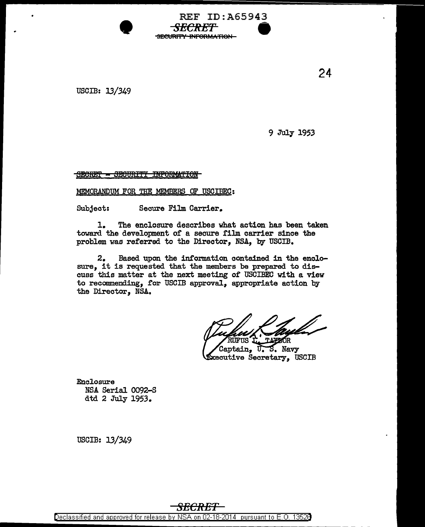USCIB: 13/349

9 July 1953

SECRET - SECURITY INPORMATION

**•** 

MEMORANDUM FOR THE MEMBERS OF USCIBEC:

Subject: Secure Film Carrier.

1. The enclosure describes what action has been taken toward the development of a secure film carrier since the problem was referred to the Director, NSA, by USCIB.

REF ID:A65943

<del>SECRET</del> SECURITY INFORMATION

2. Based upon the information contained in the enclosure, it is requested that the members be prepared to discuss this matter at the next meeting of USCIBEC with a view to recommending, for USCIB approval, appropriate action by the Director, NSA.

.<br>Captain, S. Navy π. **Executive Secretary, USCIB** 

Enclosure NSA Serial 0092-S dtd 2 July 1953.

USCIB: 13/349

24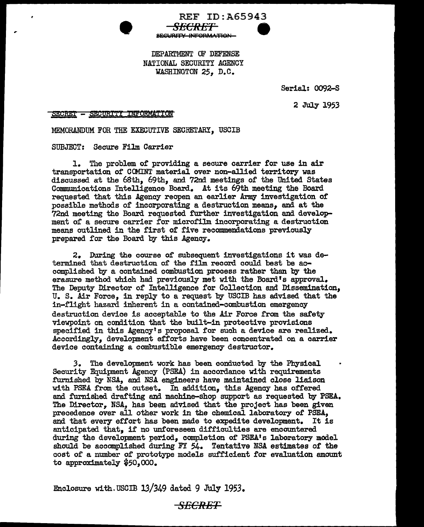

SE<del>CRET</del> **SECURITY INFORMATION** 

REF ID:A65943

Serial: 0092-S

2 July 1953

SECRET - SECURITY INFORMATION

MEMORANDUM FOR THE EXECUTIVE SECRETARY, USCIB

SUBJECT: Secure Film Carrier

l. The problem or providing a secure carrier for use in air transportation or COMINT material over non-allied territory was discussed at the 68th, 69th, and 72nd meetings of the United States Communications Intelligence Board. At its 69th meeting the Board requested that this Agency reopen an earlier Army investigation of possible methods of incorporating a destruction means, and at the 72nd meeting the Board requested further investigation and development of a secure carrier for microfilm incorporating a destruction means outlined in the first of five recommendations previous1y prepared for the Board by this Agency.

2. During the course of subsequent investigations it was determined that destruction of the film record could best be accomplished by a contained combustion process rather than by the erasure method which had previously met with the Board's approval. The Deputy Director of Intelligence for Collection and Dissemination, U. s. Air Force, in reply to a request by USCIB has advised that the in-flight hazard inherent in a contained-combustion emergency destruction device is acceptable to the Air Force from the safety viewpoint on condition that the built-in protective provisions specified in this Agency's proposa1 for suoh a device are realized. Accordingly, development efforts have been concentrated on a carrier device containing a combustible emergency destructor.

*3.* The development work has been conducted by the Physical Security Equipment Agency (PSEA) in accordance with requirements .t'urnished by NSA, and NSA engineers have maintained close liaison with PSEA from the outset. In addition, this Agency has offered and furnished drafting and machine-shop support as requested by PSEA. The Director, NSA, has been advised that the project has been given precedence over all other work in the chemical laboratory 0£ PSEA, and that every effort has been made to expedite development. It is anticipated. that, if no unforeseen difficulties are encountered during the development period, completion of PSEA1 s laboratory model should be accomplished during FY 54. Tentative NSA estimates of the cost of a number of prototype models sufficient for evaluation amount to approximately *\$50*<sup>1</sup> *000.* 

Enclosure with.USCIB 13/349 dated 9 July 1953.